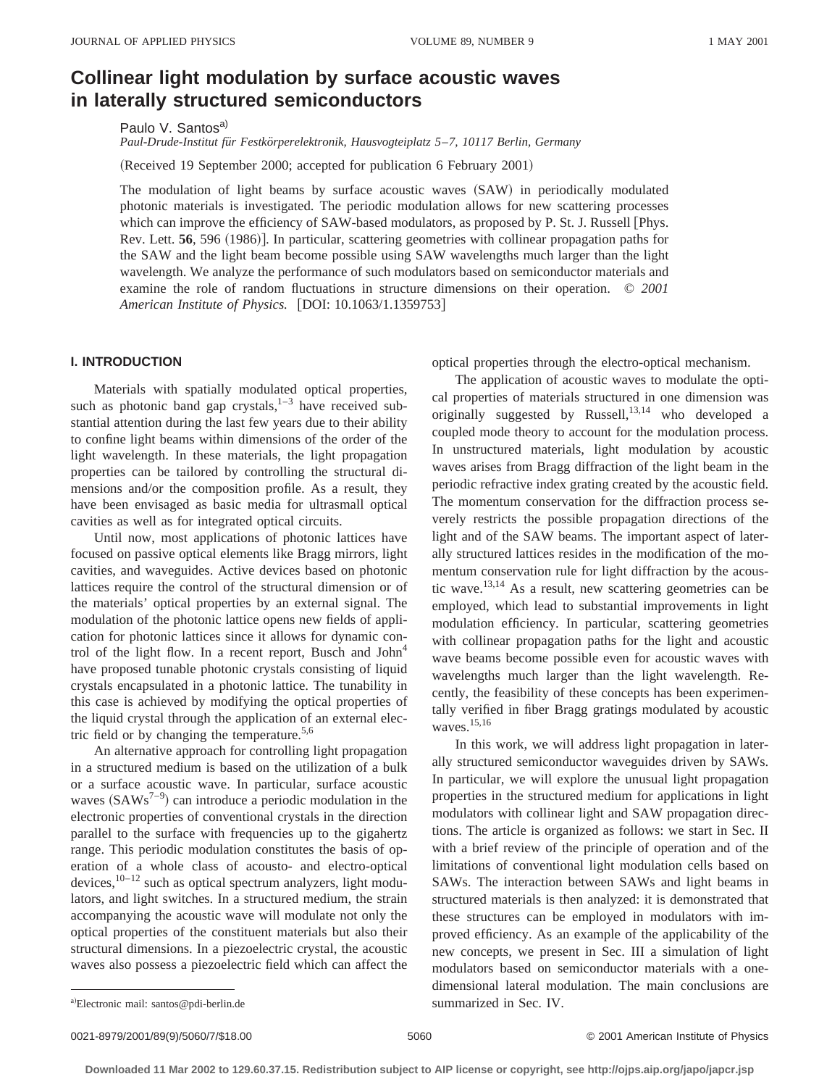# **Collinear light modulation by surface acoustic waves in laterally structured semiconductors**

Paulo V. Santos<sup>a)</sup>

*Paul-Drude-Institut fu¨r Festko¨rperelektronik, Hausvogteiplatz 5*–*7, 10117 Berlin, Germany*

(Received 19 September 2000; accepted for publication 6 February 2001)

The modulation of light beams by surface acoustic waves  $(SAW)$  in periodically modulated photonic materials is investigated. The periodic modulation allows for new scattering processes which can improve the efficiency of SAW-based modulators, as proposed by P. St. J. Russell [Phys.] Rev. Lett. **56**, 596 (1986)]. In particular, scattering geometries with collinear propagation paths for the SAW and the light beam become possible using SAW wavelengths much larger than the light wavelength. We analyze the performance of such modulators based on semiconductor materials and examine the role of random fluctuations in structure dimensions on their operation. © *2001 American Institute of Physics.* [DOI: 10.1063/1.1359753]

# **I. INTRODUCTION**

Materials with spatially modulated optical properties, such as photonic band gap crystals, $1-3$  have received substantial attention during the last few years due to their ability to confine light beams within dimensions of the order of the light wavelength. In these materials, the light propagation properties can be tailored by controlling the structural dimensions and/or the composition profile. As a result, they have been envisaged as basic media for ultrasmall optical cavities as well as for integrated optical circuits.

Until now, most applications of photonic lattices have focused on passive optical elements like Bragg mirrors, light cavities, and waveguides. Active devices based on photonic lattices require the control of the structural dimension or of the materials' optical properties by an external signal. The modulation of the photonic lattice opens new fields of application for photonic lattices since it allows for dynamic control of the light flow. In a recent report, Busch and  $John<sup>4</sup>$ have proposed tunable photonic crystals consisting of liquid crystals encapsulated in a photonic lattice. The tunability in this case is achieved by modifying the optical properties of the liquid crystal through the application of an external electric field or by changing the temperature.<sup>5,6</sup>

An alternative approach for controlling light propagation in a structured medium is based on the utilization of a bulk or a surface acoustic wave. In particular, surface acoustic waves  $(SAWs<sup>7-9</sup>)$  can introduce a periodic modulation in the electronic properties of conventional crystals in the direction parallel to the surface with frequencies up to the gigahertz range. This periodic modulation constitutes the basis of operation of a whole class of acousto- and electro-optical devices,  $10-12$  such as optical spectrum analyzers, light modulators, and light switches. In a structured medium, the strain accompanying the acoustic wave will modulate not only the optical properties of the constituent materials but also their structural dimensions. In a piezoelectric crystal, the acoustic waves also possess a piezoelectric field which can affect the optical properties through the electro-optical mechanism.

The application of acoustic waves to modulate the optical properties of materials structured in one dimension was originally suggested by Russell, $13,14$  who developed a coupled mode theory to account for the modulation process. In unstructured materials, light modulation by acoustic waves arises from Bragg diffraction of the light beam in the periodic refractive index grating created by the acoustic field. The momentum conservation for the diffraction process severely restricts the possible propagation directions of the light and of the SAW beams. The important aspect of laterally structured lattices resides in the modification of the momentum conservation rule for light diffraction by the acoustic wave.13,14 As a result, new scattering geometries can be employed, which lead to substantial improvements in light modulation efficiency. In particular, scattering geometries with collinear propagation paths for the light and acoustic wave beams become possible even for acoustic waves with wavelengths much larger than the light wavelength. Recently, the feasibility of these concepts has been experimentally verified in fiber Bragg gratings modulated by acoustic waves.15,16

In this work, we will address light propagation in laterally structured semiconductor waveguides driven by SAWs. In particular, we will explore the unusual light propagation properties in the structured medium for applications in light modulators with collinear light and SAW propagation directions. The article is organized as follows: we start in Sec. II with a brief review of the principle of operation and of the limitations of conventional light modulation cells based on SAWs. The interaction between SAWs and light beams in structured materials is then analyzed: it is demonstrated that these structures can be employed in modulators with improved efficiency. As an example of the applicability of the new concepts, we present in Sec. III a simulation of light modulators based on semiconductor materials with a onedimensional lateral modulation. The main conclusions are

a)Electronic mail: santos@pdi-berlin.de summarized in Sec. IV.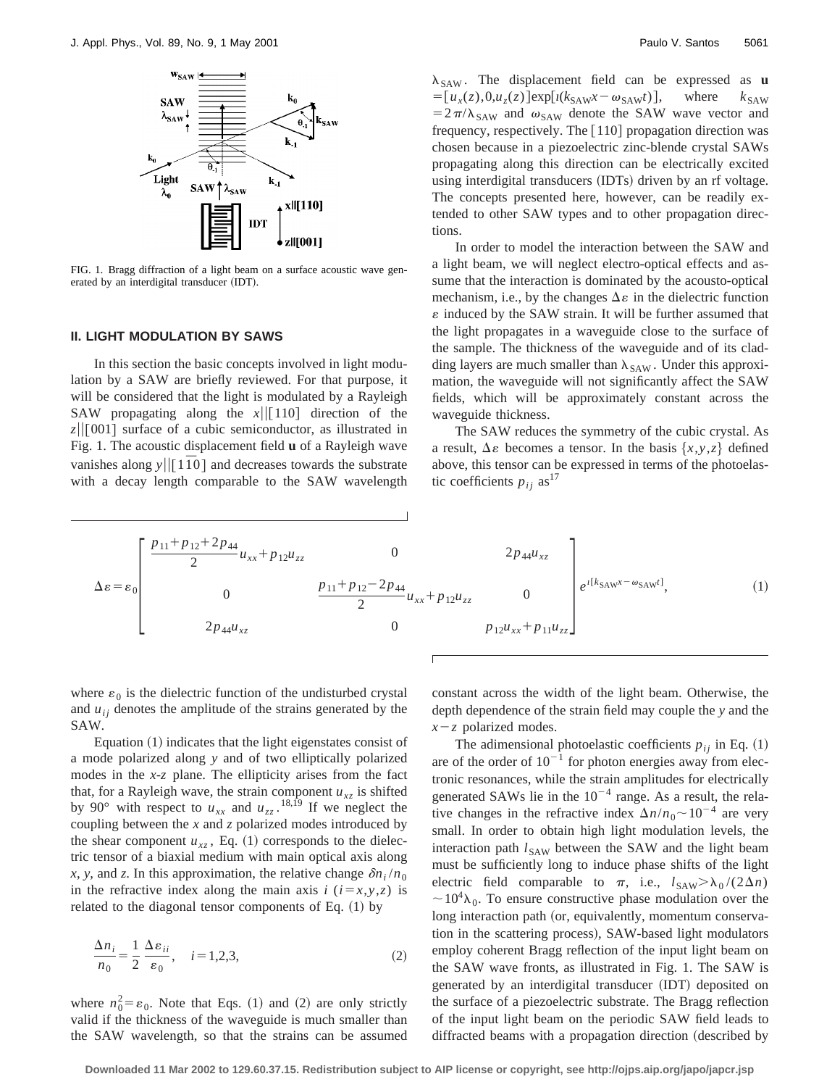

FIG. 1. Bragg diffraction of a light beam on a surface acoustic wave generated by an interdigital transducer (IDT).

#### **II. LIGHT MODULATION BY SAWS**

In this section the basic concepts involved in light modulation by a SAW are briefly reviewed. For that purpose, it will be considered that the light is modulated by a Rayleigh SAW propagating along the  $x \mid \mid [110]$  direction of the  $z||[001]$  surface of a cubic semiconductor, as illustrated in Fig. 1. The acoustic displacement field **u** of a Rayleigh wave vanishes along  $y||[1\overline{1}0]$  and decreases towards the substrate with a decay length comparable to the SAW wavelength  $\lambda_{SAW}$ . The displacement field can be expressed as **u**  $=[u_x(z),0,u_z(z)]exp[i(k_{SAW}x-\omega_{SAW}t)],$  where  $k_{SAW}$  $=2\pi/\lambda_{SAW}$  and  $\omega_{SAW}$  denote the SAW wave vector and frequency, respectively. The  $[110]$  propagation direction was chosen because in a piezoelectric zinc-blende crystal SAWs propagating along this direction can be electrically excited using interdigital transducers (IDTs) driven by an rf voltage. The concepts presented here, however, can be readily extended to other SAW types and to other propagation directions.

In order to model the interaction between the SAW and a light beam, we will neglect electro-optical effects and assume that the interaction is dominated by the acousto-optical mechanism, i.e., by the changes  $\Delta \varepsilon$  in the dielectric function  $\varepsilon$  induced by the SAW strain. It will be further assumed that the light propagates in a waveguide close to the surface of the sample. The thickness of the waveguide and of its cladding layers are much smaller than  $\lambda_{SAW}$ . Under this approximation, the waveguide will not significantly affect the SAW fields, which will be approximately constant across the waveguide thickness.

The SAW reduces the symmetry of the cubic crystal. As a result,  $\Delta \varepsilon$  becomes a tensor. In the basis  $\{x, y, z\}$  defined above, this tensor can be expressed in terms of the photoelastic coefficients  $p_{ij}$  as<sup>17</sup>

$$
\Delta \varepsilon = \varepsilon_0 \left[ \begin{array}{ccc} \frac{p_{11} + p_{12} + 2p_{44}}{2} u_{xx} + p_{12} u_{zz} & 0 & 2p_{44} u_{xz} \\ 0 & \frac{p_{11} + p_{12} - 2p_{44}}{2} u_{xx} + p_{12} u_{zz} & 0 \\ 2p_{44} u_{xz} & 0 & p_{12} u_{xx} + p_{11} u_{zz} \end{array} \right] e^{i[k_{\text{SAW}} - \omega_{\text{SAW}}]}
$$
(1)

where  $\varepsilon_0$  is the dielectric function of the undisturbed crystal and  $u_{ij}$  denotes the amplitude of the strains generated by the SAW.

Equation  $(1)$  indicates that the light eigenstates consist of a mode polarized along *y* and of two elliptically polarized modes in the *x*-*z* plane. The ellipticity arises from the fact that, for a Rayleigh wave, the strain component  $u_{xz}$  is shifted by 90° with respect to  $u_{xx}$  and  $u_{zz}$ .<sup>18,19</sup> If we neglect the coupling between the *x* and *z* polarized modes introduced by the shear component  $u_{xz}$ , Eq. (1) corresponds to the dielectric tensor of a biaxial medium with main optical axis along *x*, *y*, and *z*. In this approximation, the relative change  $\delta n_i/n_0$ in the refractive index along the main axis  $i$  ( $i=x,y,z$ ) is related to the diagonal tensor components of Eq.  $(1)$  by

$$
\frac{\Delta n_i}{n_0} = \frac{1}{2} \frac{\Delta \varepsilon_{ii}}{\varepsilon_0}, \quad i = 1, 2, 3,
$$
\n(2)

where  $n_0^2 = \varepsilon_0$ . Note that Eqs. (1) and (2) are only strictly valid if the thickness of the waveguide is much smaller than the SAW wavelength, so that the strains can be assumed constant across the width of the light beam. Otherwise, the depth dependence of the strain field may couple the *y* and the  $x-z$  polarized modes.

The adimensional photoelastic coefficients  $p_{ij}$  in Eq.  $(1)$ are of the order of  $10^{-1}$  for photon energies away from electronic resonances, while the strain amplitudes for electrically generated SAWs lie in the  $10^{-4}$  range. As a result, the relative changes in the refractive index  $\Delta n/n_0 \sim 10^{-4}$  are very small. In order to obtain high light modulation levels, the interaction path  $l_{SAW}$  between the SAW and the light beam must be sufficiently long to induce phase shifts of the light electric field comparable to  $\pi$ , i.e.,  $l_{SAW} > \lambda_0 / (2\Delta n)$  $\sim 10^4 \lambda_0$ . To ensure constructive phase modulation over the long interaction path (or, equivalently, momentum conservation in the scattering process), SAW-based light modulators employ coherent Bragg reflection of the input light beam on the SAW wave fronts, as illustrated in Fig. 1. The SAW is generated by an interdigital transducer (IDT) deposited on the surface of a piezoelectric substrate. The Bragg reflection of the input light beam on the periodic SAW field leads to diffracted beams with a propagation direction (described by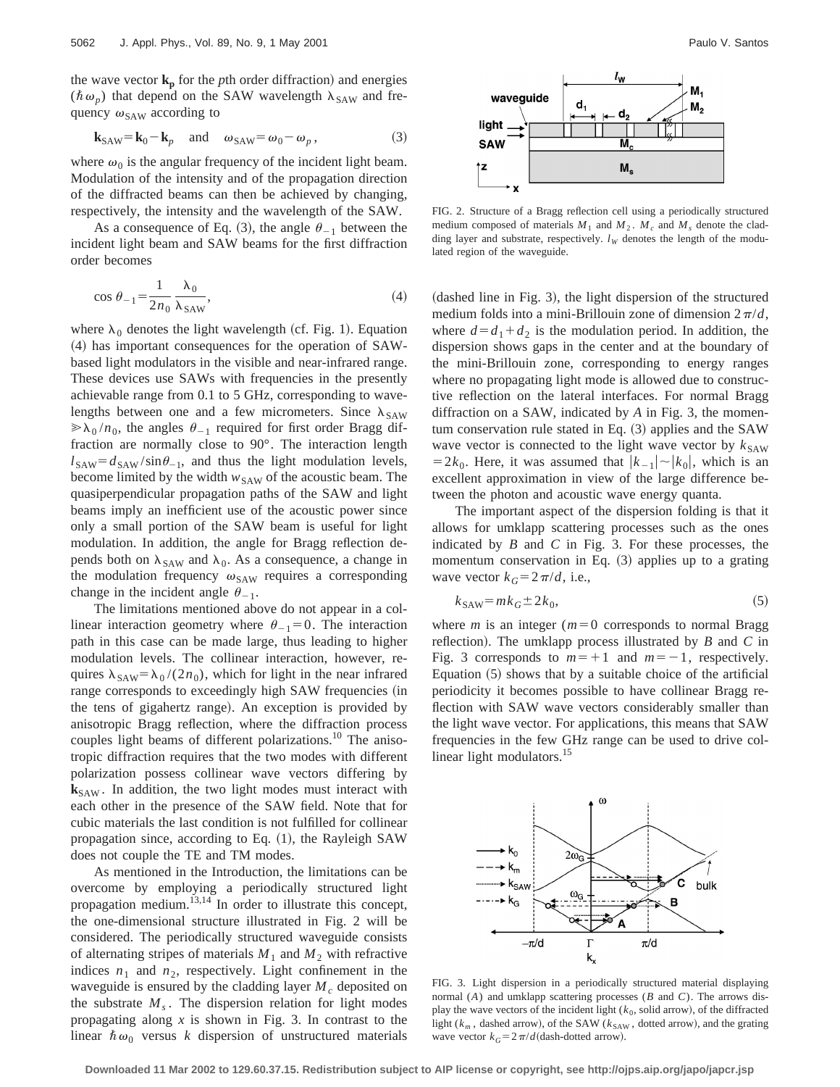the wave vector  $\mathbf{k}_p$  for the *p*th order diffraction) and energies  $(\hbar \omega_p)$  that depend on the SAW wavelength  $\lambda_{\text{SAW}}$  and frequency  $\omega_{\text{SAW}}$  according to

$$
\mathbf{k}_{\text{SAW}} = \mathbf{k}_0 - \mathbf{k}_p \quad \text{and} \quad \omega_{\text{SAW}} = \omega_0 - \omega_p \,, \tag{3}
$$

where  $\omega_0$  is the angular frequency of the incident light beam. Modulation of the intensity and of the propagation direction of the diffracted beams can then be achieved by changing, respectively, the intensity and the wavelength of the SAW.

As a consequence of Eq. (3), the angle  $\theta_{-1}$  between the incident light beam and SAW beams for the first diffraction order becomes

$$
\cos \theta_{-1} = \frac{1}{2n_0} \frac{\lambda_0}{\lambda_{\text{SAW}}},\tag{4}
$$

where  $\lambda_0$  denotes the light wavelength (cf. Fig. 1). Equation ~4! has important consequences for the operation of SAWbased light modulators in the visible and near-infrared range. These devices use SAWs with frequencies in the presently achievable range from 0.1 to 5 GHz, corresponding to wavelengths between one and a few micrometers. Since  $\lambda_{SAW}$  $\gg \lambda_0 / n_0$ , the angles  $\theta_{-1}$  required for first order Bragg diffraction are normally close to 90°. The interaction length  $l_{\text{SAW}} = d_{\text{SAW}} / \sin \theta_{-1}$ , and thus the light modulation levels, become limited by the width  $w_{SAW}$  of the acoustic beam. The quasiperpendicular propagation paths of the SAW and light beams imply an inefficient use of the acoustic power since only a small portion of the SAW beam is useful for light modulation. In addition, the angle for Bragg reflection depends both on  $\lambda_{SAW}$  and  $\lambda_0$ . As a consequence, a change in the modulation frequency  $\omega_{\text{SAW}}$  requires a corresponding change in the incident angle  $\theta_{-1}$ .

The limitations mentioned above do not appear in a collinear interaction geometry where  $\theta_{-1}=0$ . The interaction path in this case can be made large, thus leading to higher modulation levels. The collinear interaction, however, requires  $\lambda_{SAW} = \lambda_0 / (2n_0)$ , which for light in the near infrared range corresponds to exceedingly high SAW frequencies (in the tens of gigahertz range). An exception is provided by anisotropic Bragg reflection, where the diffraction process couples light beams of different polarizations.<sup>10</sup> The anisotropic diffraction requires that the two modes with different polarization possess collinear wave vectors differing by **k**<sub>SAW</sub>. In addition, the two light modes must interact with each other in the presence of the SAW field. Note that for cubic materials the last condition is not fulfilled for collinear propagation since, according to Eq.  $(1)$ , the Rayleigh SAW does not couple the TE and TM modes.

As mentioned in the Introduction, the limitations can be overcome by employing a periodically structured light propagation medium.13,14 In order to illustrate this concept, the one-dimensional structure illustrated in Fig. 2 will be considered. The periodically structured waveguide consists of alternating stripes of materials  $M_1$  and  $M_2$  with refractive indices  $n_1$  and  $n_2$ , respectively. Light confinement in the waveguide is ensured by the cladding layer  $M_c$  deposited on the substrate  $M<sub>s</sub>$ . The dispersion relation for light modes propagating along *x* is shown in Fig. 3. In contrast to the linear  $\hbar \omega_0$  versus *k* dispersion of unstructured materials



FIG. 2. Structure of a Bragg reflection cell using a periodically structured medium composed of materials  $M_1$  and  $M_2$ .  $M_c$  and  $M_s$  denote the cladding layer and substrate, respectively.  $l_W$  denotes the length of the modulated region of the waveguide.

 $(dashed line in Fig. 3)$ , the light dispersion of the structured medium folds into a mini-Brillouin zone of dimension  $2\pi/d$ , where  $d=d_1+d_2$  is the modulation period. In addition, the dispersion shows gaps in the center and at the boundary of the mini-Brillouin zone, corresponding to energy ranges where no propagating light mode is allowed due to constructive reflection on the lateral interfaces. For normal Bragg diffraction on a SAW, indicated by *A* in Fig. 3, the momentum conservation rule stated in Eq.  $(3)$  applies and the SAW wave vector is connected to the light wave vector by  $k_{SAW}$  $=2k_0$ . Here, it was assumed that  $|k_{-1}|\sim |k_0|$ , which is an excellent approximation in view of the large difference between the photon and acoustic wave energy quanta.

The important aspect of the dispersion folding is that it allows for umklapp scattering processes such as the ones indicated by *B* and *C* in Fig. 3. For these processes, the momentum conservation in Eq.  $(3)$  applies up to a grating wave vector  $k_G=2\pi/d$ , i.e.,

$$
k_{\text{SAW}} = mk_G \pm 2k_0,\tag{5}
$$

where  $m$  is an integer ( $m=0$  corresponds to normal Bragg reflection). The umklapp process illustrated by  $B$  and  $C$  in Fig. 3 corresponds to  $m=+1$  and  $m=-1$ , respectively. Equation  $(5)$  shows that by a suitable choice of the artificial periodicity it becomes possible to have collinear Bragg reflection with SAW wave vectors considerably smaller than the light wave vector. For applications, this means that SAW frequencies in the few GHz range can be used to drive collinear light modulators.<sup>15</sup>



FIG. 3. Light dispersion in a periodically structured material displaying normal (*A*) and umklapp scattering processes (*B* and *C*). The arrows display the wave vectors of the incident light  $(k_0,$  solid arrow), of the diffracted light ( $k_m$ , dashed arrow), of the SAW ( $k_{SAW}$ , dotted arrow), and the grating wave vector  $k_G = 2\pi/d$  (dash-dotted arrow).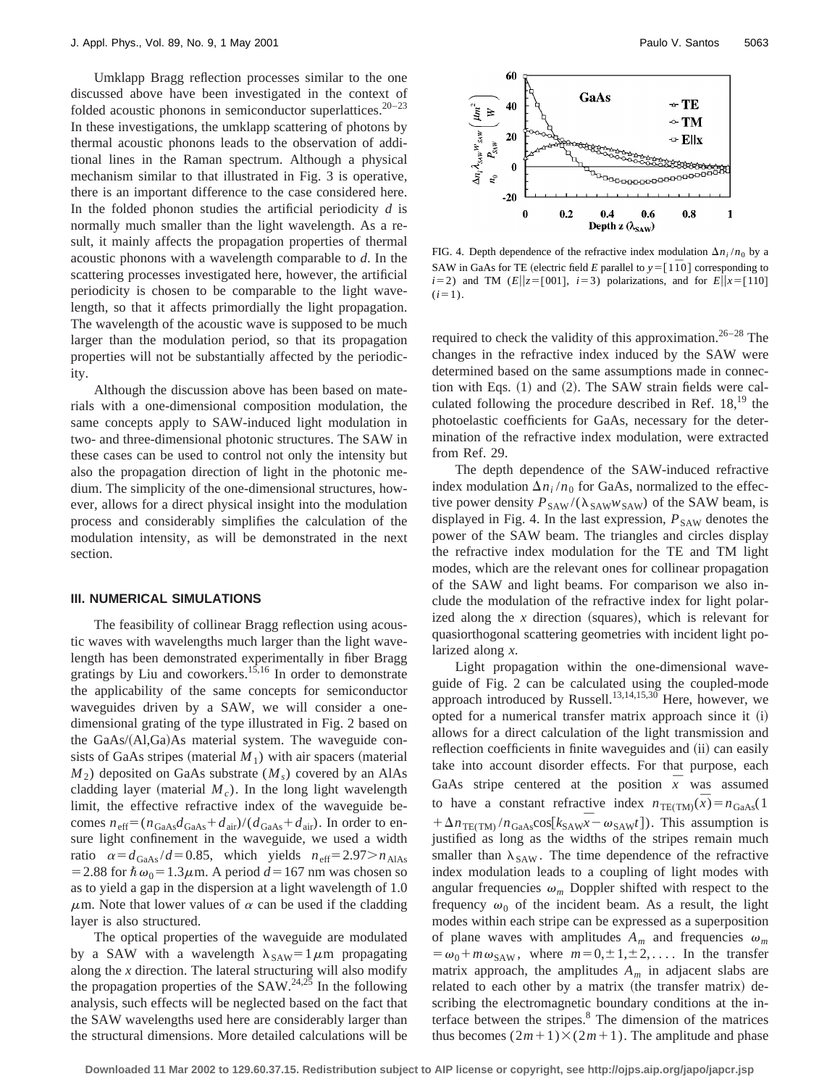Umklapp Bragg reflection processes similar to the one discussed above have been investigated in the context of folded acoustic phonons in semiconductor superlattices.<sup>20–23</sup> In these investigations, the umklapp scattering of photons by thermal acoustic phonons leads to the observation of additional lines in the Raman spectrum. Although a physical mechanism similar to that illustrated in Fig. 3 is operative, there is an important difference to the case considered here. In the folded phonon studies the artificial periodicity *d* is normally much smaller than the light wavelength. As a result, it mainly affects the propagation properties of thermal acoustic phonons with a wavelength comparable to *d*. In the scattering processes investigated here, however, the artificial periodicity is chosen to be comparable to the light wavelength, so that it affects primordially the light propagation. The wavelength of the acoustic wave is supposed to be much larger than the modulation period, so that its propagation properties will not be substantially affected by the periodicity.

Although the discussion above has been based on materials with a one-dimensional composition modulation, the same concepts apply to SAW-induced light modulation in two- and three-dimensional photonic structures. The SAW in these cases can be used to control not only the intensity but also the propagation direction of light in the photonic medium. The simplicity of the one-dimensional structures, however, allows for a direct physical insight into the modulation process and considerably simplifies the calculation of the modulation intensity, as will be demonstrated in the next section.

#### **III. NUMERICAL SIMULATIONS**

The feasibility of collinear Bragg reflection using acoustic waves with wavelengths much larger than the light wavelength has been demonstrated experimentally in fiber Bragg gratings by Liu and coworkers.15,16 In order to demonstrate the applicability of the same concepts for semiconductor waveguides driven by a SAW, we will consider a onedimensional grating of the type illustrated in Fig. 2 based on the GaAs/(Al,Ga)As material system. The waveguide consists of GaAs stripes (material  $M_1$ ) with air spacers (material  $M_2$ ) deposited on GaAs substrate ( $M_s$ ) covered by an AlAs cladding layer (material  $M_c$ ). In the long light wavelength limit, the effective refractive index of the waveguide becomes  $n_{\text{eff}} = (n_{\text{GaAs}}d_{\text{GaAs}} + d_{\text{air}})/(d_{\text{GaAs}} + d_{\text{air}})$ . In order to ensure light confinement in the waveguide, we used a width ratio  $\alpha = d_{\text{GaAs}} / d = 0.85$ , which yields  $n_{\text{eff}} = 2.97 > n_{\text{AlAs}}$ = 2.88 for  $\hbar \omega_0$ = 1.3 $\mu$ m. A period *d* = 167 nm was chosen so as to yield a gap in the dispersion at a light wavelength of 1.0  $\mu$ m. Note that lower values of  $\alpha$  can be used if the cladding layer is also structured.

The optical properties of the waveguide are modulated by a SAW with a wavelength  $\lambda_{SAW} = 1 \mu m$  propagating along the *x* direction. The lateral structuring will also modify the propagation properties of the  $SAW^{24,25}$  In the following analysis, such effects will be neglected based on the fact that the SAW wavelengths used here are considerably larger than the structural dimensions. More detailed calculations will be



FIG. 4. Depth dependence of the refractive index modulation  $\Delta n_i/n_0$  by a SAW in GaAs for TE (electric field *E* parallel to  $y = [1\overline{1}0]$  corresponding to *i*=2) and TM (*E*|| $z$ =[001], *i*=3) polarizations, and for *E*|| $x$ =[110]  $(i=1)$ .

required to check the validity of this approximation.<sup>26–28</sup> The changes in the refractive index induced by the SAW were determined based on the same assumptions made in connection with Eqs.  $(1)$  and  $(2)$ . The SAW strain fields were calculated following the procedure described in Ref.  $18$ ,<sup>19</sup> the photoelastic coefficients for GaAs, necessary for the determination of the refractive index modulation, were extracted from Ref. 29.

The depth dependence of the SAW-induced refractive index modulation  $\Delta n_i/n_0$  for GaAs, normalized to the effective power density  $P_{SAW}/(\lambda_{SAW}W_{SAW})$  of the SAW beam, is displayed in Fig. 4. In the last expression,  $P_{SAW}$  denotes the power of the SAW beam. The triangles and circles display the refractive index modulation for the TE and TM light modes, which are the relevant ones for collinear propagation of the SAW and light beams. For comparison we also include the modulation of the refractive index for light polarized along the  $x$  direction (squares), which is relevant for quasiorthogonal scattering geometries with incident light polarized along *x*.

Light propagation within the one-dimensional waveguide of Fig. 2 can be calculated using the coupled-mode approach introduced by Russell.<sup>13,14,15,30</sup> Here, however, we opted for a numerical transfer matrix approach since it (i) allows for a direct calculation of the light transmission and reflection coefficients in finite waveguides and (ii) can easily take into account disorder effects. For that purpose, each GaAs stripe centered at the position  $\overline{x}$  was assumed to have a constant refractive index  $n_{\text{TE(TM)}}(\bar{x}) = n_{\text{GaAs}}(1)$  $+\Delta n_{\text{TE(TM)}}/n_{\text{GaAs}}\cos[k_{\text{SAW}}\bar{x}-\omega_{\text{SAW}}t]$ ). This assumption is justified as long as the widths of the stripes remain much smaller than  $\lambda_{SAW}$ . The time dependence of the refractive index modulation leads to a coupling of light modes with angular frequencies  $\omega_m$  Doppler shifted with respect to the frequency  $\omega_0$  of the incident beam. As a result, the light modes within each stripe can be expressed as a superposition of plane waves with amplitudes  $A_m$  and frequencies  $\omega_m$  $= \omega_0 + m \omega_{SAW}$ , where  $m=0,\pm 1,\pm 2,...$  In the transfer matrix approach, the amplitudes  $A_m$  in adjacent slabs are related to each other by a matrix (the transfer matrix) describing the electromagnetic boundary conditions at the interface between the stripes. $8$  The dimension of the matrices thus becomes  $(2m+1)\times(2m+1)$ . The amplitude and phase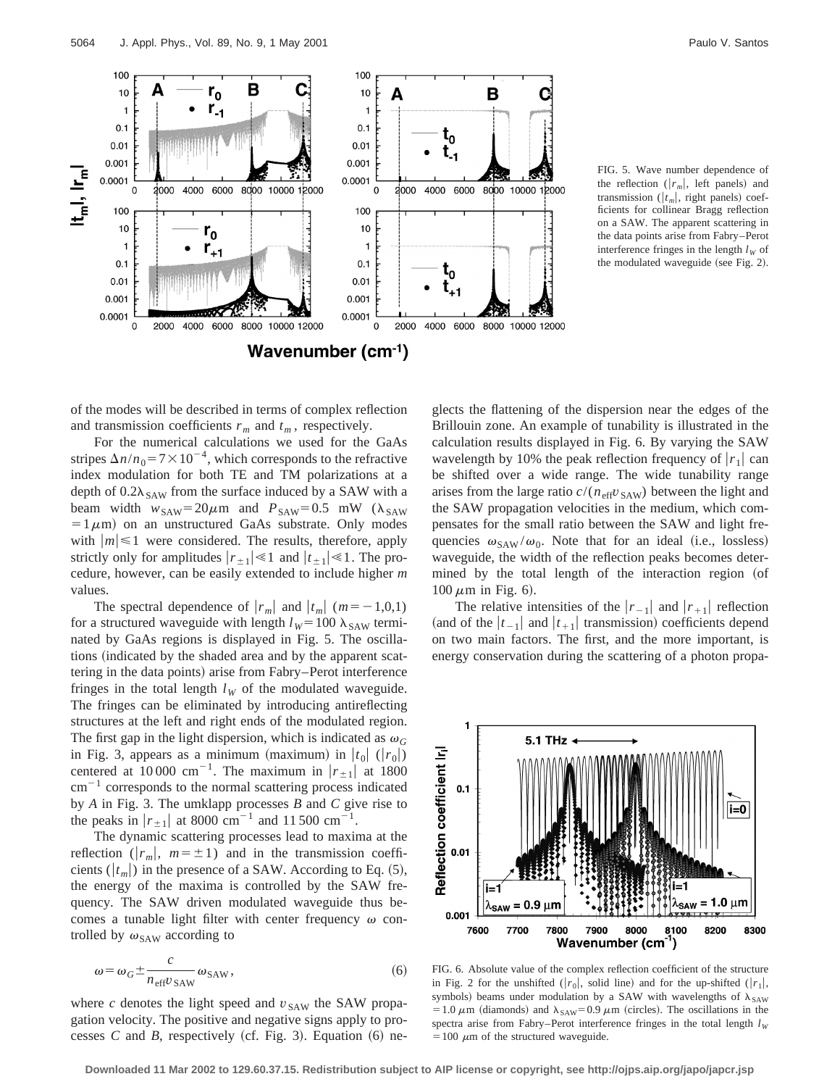

FIG. 5. Wave number dependence of the reflection  $(|r_m|,$  left panels) and transmission ( $|t_m|$ , right panels) coefficients for collinear Bragg reflection on a SAW. The apparent scattering in the data points arise from Fabry–Perot interference fringes in the length  $l_W$  of the modulated waveguide (see Fig. 2).

of the modes will be described in terms of complex reflection and transmission coefficients  $r_m$  and  $t_m$ , respectively.

For the numerical calculations we used for the GaAs stripes  $\Delta n/n_0 = 7 \times 10^{-4}$ , which corresponds to the refractive index modulation for both TE and TM polarizations at a depth of  $0.2\lambda_{SAW}$  from the surface induced by a SAW with a beam width  $w_{SAW} = 20 \mu m$  and  $P_{SAW} = 0.5$  mW ( $\lambda_{SAW}$ )  $=1 \mu m$ ) on an unstructured GaAs substrate. Only modes with  $|m| \leq 1$  were considered. The results, therefore, apply strictly only for amplitudes  $|r_{\pm 1}| \le 1$  and  $|t_{\pm 1}| \le 1$ . The procedure, however, can be easily extended to include higher *m* values.

The spectral dependence of  $|r_m|$  and  $|t_m|$  ( $m = -1,0,1$ ) for a structured waveguide with length  $l_W$ =100  $\lambda_{SAW}$  terminated by GaAs regions is displayed in Fig. 5. The oscillations (indicated by the shaded area and by the apparent scattering in the data points) arise from Fabry–Perot interference fringes in the total length  $l_W$  of the modulated waveguide. The fringes can be eliminated by introducing antireflecting structures at the left and right ends of the modulated region. The first gap in the light dispersion, which is indicated as  $\omega_G$ in Fig. 3, appears as a minimum (maximum) in  $|t_0|$  ( $|r_0|$ ) centered at 10 000 cm<sup>-1</sup>. The maximum in  $|r_{\pm 1}|$  at 1800  $\text{cm}^{-1}$  corresponds to the normal scattering process indicated by *A* in Fig. 3. The umklapp processes *B* and *C* give rise to the peaks in  $|r_{\pm 1}|$  at 8000 cm<sup>-1</sup> and 11 500 cm<sup>-1</sup>.

The dynamic scattering processes lead to maxima at the reflection ( $|r_m|$ ,  $m=\pm 1$ ) and in the transmission coefficients  $(|t_m|)$  in the presence of a SAW. According to Eq.  $(5)$ , the energy of the maxima is controlled by the SAW frequency. The SAW driven modulated waveguide thus becomes a tunable light filter with center frequency  $\omega$  controlled by  $\omega_{\text{SAW}}$  according to

$$
\omega = \omega_G \pm \frac{c}{n_{\text{eff}} v_{\text{SAW}}},\tag{6}
$$

where  $c$  denotes the light speed and  $v_{SAW}$  the SAW propagation velocity. The positive and negative signs apply to processes *C* and *B*, respectively (cf. Fig. 3). Equation  $(6)$  neglects the flattening of the dispersion near the edges of the Brillouin zone. An example of tunability is illustrated in the calculation results displayed in Fig. 6. By varying the SAW wavelength by 10% the peak reflection frequency of  $|r_1|$  can be shifted over a wide range. The wide tunability range arises from the large ratio  $c/(n_{\text{eff}}v_{\text{SAW}})$  between the light and the SAW propagation velocities in the medium, which compensates for the small ratio between the SAW and light frequencies  $\omega_{SAW}/\omega_0$ . Note that for an ideal (i.e., lossless) waveguide, the width of the reflection peaks becomes determined by the total length of the interaction region (of  $100 \mu m$  in Fig. 6).

The relative intensities of the  $|r_{-1}|$  and  $|r_{+1}|$  reflection (and of the  $|t_{-1}|$  and  $|t_{+1}|$  transmission) coefficients depend on two main factors. The first, and the more important, is energy conservation during the scattering of a photon propa-



FIG. 6. Absolute value of the complex reflection coefficient of the structure in Fig. 2 for the unshifted (| $r_0$ |, solid line) and for the up-shifted (| $r_1$ |, symbols) beams under modulation by a SAW with wavelengths of  $\lambda_{SAW}$ = 1.0  $\mu$ m (diamonds) and  $\lambda_{SAW}$ = 0.9  $\mu$ m (circles). The oscillations in the spectra arise from Fabry–Perot interference fringes in the total length  $l_W$  $=100 \mu m$  of the structured waveguide.

**Downloaded 11 Mar 2002 to 129.60.37.15. Redistribution subject to AIP license or copyright, see http://ojps.aip.org/japo/japcr.jsp**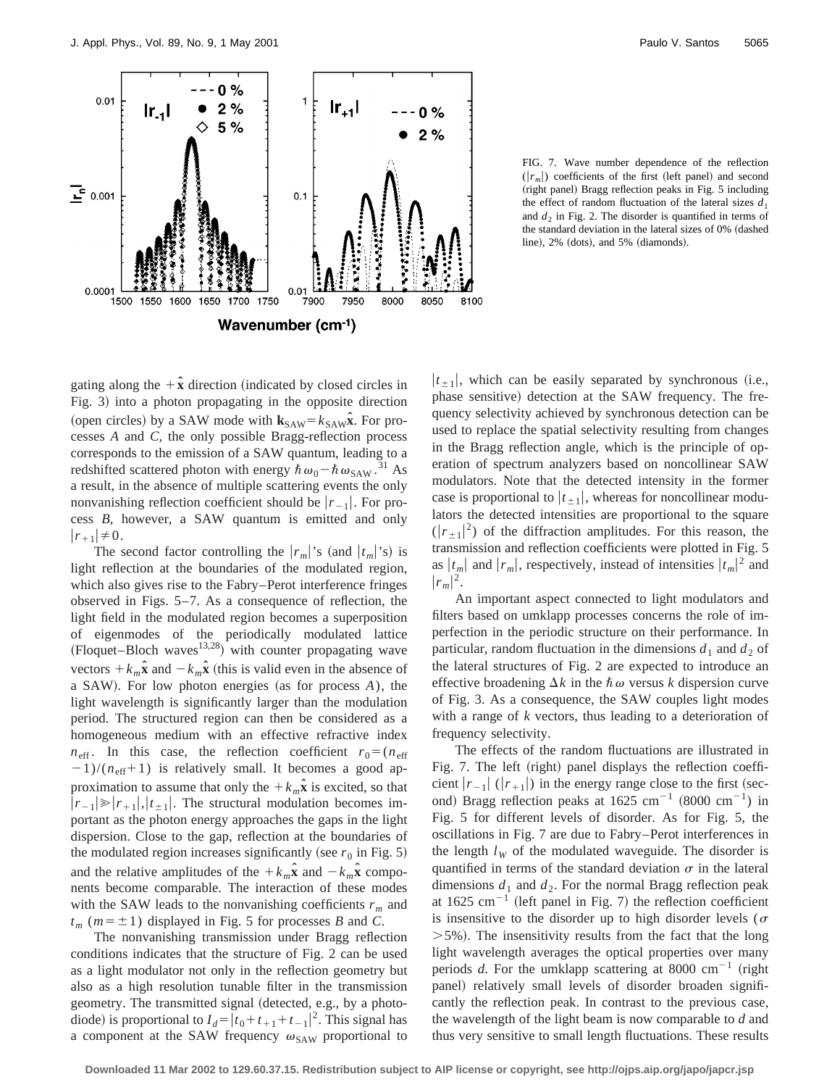

FIG. 7. Wave number dependence of the reflection  $(|r_m|)$  coefficients of the first (left panel) and second (right panel) Bragg reflection peaks in Fig. 5 including the effect of random fluctuation of the lateral sizes  $d_1$ and  $d_2$  in Fig. 2. The disorder is quantified in terms of the standard deviation in the lateral sizes of 0% (dashed line), 2% (dots), and 5% (diamonds).

gating along the  $+\hat{x}$  direction (indicated by closed circles in Fig. 3) into a photon propagating in the opposite direction (open circles) by a SAW mode with  $\mathbf{k}_{SAW} = k_{SAW} \hat{\mathbf{x}}$ . For processes *A* and *C*, the only possible Bragg-reflection process corresponds to the emission of a SAW quantum, leading to a redshifted scattered photon with energy  $\hbar \omega_0 - \hbar \omega_{\text{SAW}}$ .<sup>31</sup> As a result, in the absence of multiple scattering events the only nonvanishing reflection coefficient should be  $|r_{-1}|$ . For process *B*, however, a SAW quantum is emitted and only  $|r_{+1}|\neq0.$ 

The second factor controlling the  $|r_m|$ 's (and  $|t_m|$ 's) is light reflection at the boundaries of the modulated region, which also gives rise to the Fabry–Perot interference fringes observed in Figs. 5–7. As a consequence of reflection, the light field in the modulated region becomes a superposition of eigenmodes of the periodically modulated lattice  $(Floquet-Bloch waves<sup>13,28</sup>)$  with counter propagating wave vectors  $+k_m\hat{\mathbf{x}}$  and  $-k_m\hat{\mathbf{x}}$  (this is valid even in the absence of a SAW). For low photon energies (as for process *A*), the light wavelength is significantly larger than the modulation period. The structured region can then be considered as a homogeneous medium with an effective refractive index  $n_{\text{eff}}$ . In this case, the reflection coefficient  $r_0 = (n_{\text{eff}})$  $2(1)/(n_{\text{eff}}+1)$  is relatively small. It becomes a good approximation to assume that only the  $+k_m\hat{x}$  is excited, so that  $|r_{-1}| \ge |r_{+1}|$ ,  $|r_{\pm 1}|$ . The structural modulation becomes important as the photon energy approaches the gaps in the light dispersion. Close to the gap, reflection at the boundaries of the modulated region increases significantly (see  $r_0$  in Fig. 5) and the relative amplitudes of the  $+k_m\hat{\mathbf{x}}$  and  $-k_m\hat{\mathbf{x}}$  components become comparable. The interaction of these modes with the SAW leads to the nonvanishing coefficients  $r_m$  and  $t_m$  ( $m = \pm 1$ ) displayed in Fig. 5 for processes *B* and *C*.

The nonvanishing transmission under Bragg reflection conditions indicates that the structure of Fig. 2 can be used as a light modulator not only in the reflection geometry but also as a high resolution tunable filter in the transmission geometry. The transmitted signal (detected, e.g., by a photodiode) is proportional to  $I_d = |t_0 + t_{+1} + t_{-1}|^2$ . This signal has a component at the SAW frequency  $\omega_{\text{SAW}}$  proportional to  $|t_{+1}|$ , which can be easily separated by synchronous (i.e., phase sensitive) detection at the SAW frequency. The frequency selectivity achieved by synchronous detection can be used to replace the spatial selectivity resulting from changes in the Bragg reflection angle, which is the principle of operation of spectrum analyzers based on noncollinear SAW modulators. Note that the detected intensity in the former case is proportional to  $|t_{\pm 1}|$ , whereas for noncollinear modulators the detected intensities are proportional to the square  $(|r_{\pm 1}|^2)$  of the diffraction amplitudes. For this reason, the transmission and reflection coefficients were plotted in Fig. 5 as  $|t_m|$  and  $|r_m|$ , respectively, instead of intensities  $|t_m|^2$  and  $|r_m|^2$ .

An important aspect connected to light modulators and filters based on umklapp processes concerns the role of imperfection in the periodic structure on their performance. In particular, random fluctuation in the dimensions  $d_1$  and  $d_2$  of the lateral structures of Fig. 2 are expected to introduce an effective broadening  $\Delta k$  in the  $\hbar \omega$  versus *k* dispersion curve of Fig. 3. As a consequence, the SAW couples light modes with a range of *k* vectors, thus leading to a deterioration of frequency selectivity.

The effects of the random fluctuations are illustrated in Fig. 7. The left (right) panel displays the reflection coefficient  $|r_{-1}|$  ( $|r_{+1}|$ ) in the energy range close to the first (second) Bragg reflection peaks at  $1625 ~\text{cm}^{-1}$  (8000 cm<sup>-1</sup>) in Fig. 5 for different levels of disorder. As for Fig. 5, the oscillations in Fig. 7 are due to Fabry–Perot interferences in the length  $l_W$  of the modulated waveguide. The disorder is quantified in terms of the standard deviation  $\sigma$  in the lateral dimensions  $d_1$  and  $d_2$ . For the normal Bragg reflection peak at 1625  $cm^{-1}$  (left panel in Fig. 7) the reflection coefficient is insensitive to the disorder up to high disorder levels ( $\sigma$  $>5\%$ ). The insensitivity results from the fact that the long light wavelength averages the optical properties over many periods *d*. For the umklapp scattering at 8000  $cm^{-1}$  (right panel) relatively small levels of disorder broaden significantly the reflection peak. In contrast to the previous case, the wavelength of the light beam is now comparable to *d* and thus very sensitive to small length fluctuations. These results